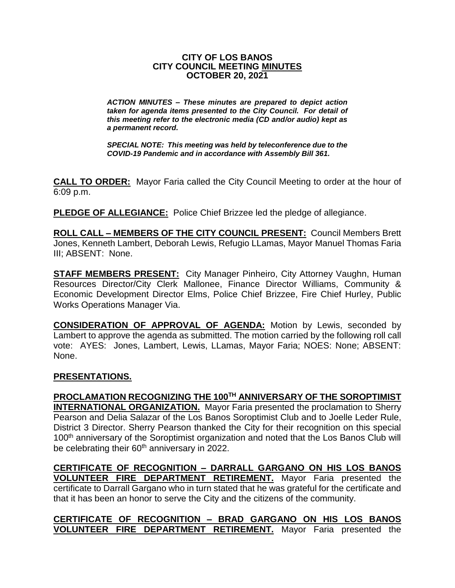#### **CITY OF LOS BANOS CITY COUNCIL MEETING MINUTES OCTOBER 20, 2021**

*ACTION MINUTES – These minutes are prepared to depict action taken for agenda items presented to the City Council. For detail of this meeting refer to the electronic media (CD and/or audio) kept as a permanent record.*

*SPECIAL NOTE: This meeting was held by teleconference due to the COVID-19 Pandemic and in accordance with Assembly Bill 361.*

**CALL TO ORDER:** Mayor Faria called the City Council Meeting to order at the hour of 6:09 p.m.

**PLEDGE OF ALLEGIANCE:** Police Chief Brizzee led the pledge of allegiance.

**ROLL CALL – MEMBERS OF THE CITY COUNCIL PRESENT:** Council Members Brett Jones, Kenneth Lambert, Deborah Lewis, Refugio LLamas, Mayor Manuel Thomas Faria III; ABSENT: None.

**STAFF MEMBERS PRESENT:** City Manager Pinheiro, City Attorney Vaughn, Human Resources Director/City Clerk Mallonee, Finance Director Williams, Community & Economic Development Director Elms, Police Chief Brizzee, Fire Chief Hurley, Public Works Operations Manager Via.

**CONSIDERATION OF APPROVAL OF AGENDA:** Motion by Lewis, seconded by Lambert to approve the agenda as submitted. The motion carried by the following roll call vote: AYES: Jones, Lambert, Lewis, LLamas, Mayor Faria; NOES: None; ABSENT: None.

#### **PRESENTATIONS.**

**PROCLAMATION RECOGNIZING THE 100TH ANNIVERSARY OF THE SOROPTIMIST INTERNATIONAL ORGANIZATION.** Mayor Faria presented the proclamation to Sherry Pearson and Delia Salazar of the Los Banos Soroptimist Club and to Joelle Leder Rule, District 3 Director. Sherry Pearson thanked the City for their recognition on this special 100<sup>th</sup> anniversary of the Soroptimist organization and noted that the Los Banos Club will be celebrating their 60<sup>th</sup> anniversary in 2022.

**CERTIFICATE OF RECOGNITION – DARRALL GARGANO ON HIS LOS BANOS VOLUNTEER FIRE DEPARTMENT RETIREMENT.** Mayor Faria presented the certificate to Darrall Gargano who in turn stated that he was grateful for the certificate and that it has been an honor to serve the City and the citizens of the community.

**CERTIFICATE OF RECOGNITION – BRAD GARGANO ON HIS LOS BANOS VOLUNTEER FIRE DEPARTMENT RETIREMENT.** Mayor Faria presented the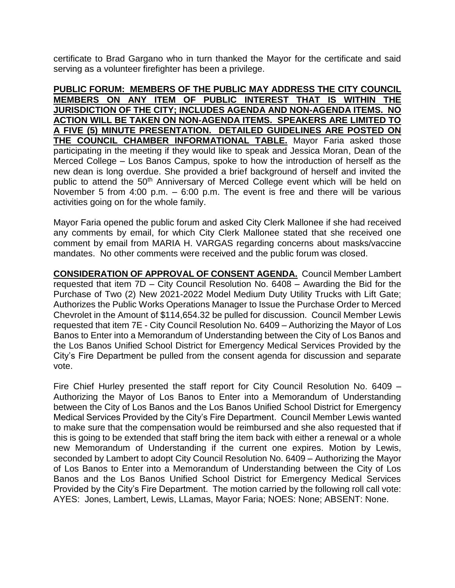certificate to Brad Gargano who in turn thanked the Mayor for the certificate and said serving as a volunteer firefighter has been a privilege.

**PUBLIC FORUM: MEMBERS OF THE PUBLIC MAY ADDRESS THE CITY COUNCIL MEMBERS ON ANY ITEM OF PUBLIC INTEREST THAT IS WITHIN THE JURISDICTION OF THE CITY; INCLUDES AGENDA AND NON-AGENDA ITEMS. NO ACTION WILL BE TAKEN ON NON-AGENDA ITEMS. SPEAKERS ARE LIMITED TO A FIVE (5) MINUTE PRESENTATION. DETAILED GUIDELINES ARE POSTED ON THE COUNCIL CHAMBER INFORMATIONAL TABLE.** Mayor Faria asked those participating in the meeting if they would like to speak and Jessica Moran, Dean of the Merced College – Los Banos Campus, spoke to how the introduction of herself as the new dean is long overdue. She provided a brief background of herself and invited the public to attend the 50<sup>th</sup> Anniversary of Merced College event which will be held on November 5 from 4:00 p.m. – 6:00 p.m. The event is free and there will be various activities going on for the whole family.

Mayor Faria opened the public forum and asked City Clerk Mallonee if she had received any comments by email, for which City Clerk Mallonee stated that she received one comment by email from MARIA H. VARGAS regarding concerns about masks/vaccine mandates. No other comments were received and the public forum was closed.

**CONSIDERATION OF APPROVAL OF CONSENT AGENDA.** Council Member Lambert requested that item 7D – City Council Resolution No. 6408 – Awarding the Bid for the Purchase of Two (2) New 2021-2022 Model Medium Duty Utility Trucks with Lift Gate; Authorizes the Public Works Operations Manager to Issue the Purchase Order to Merced Chevrolet in the Amount of \$114,654.32 be pulled for discussion. Council Member Lewis requested that item 7E - City Council Resolution No. 6409 – Authorizing the Mayor of Los Banos to Enter into a Memorandum of Understanding between the City of Los Banos and the Los Banos Unified School District for Emergency Medical Services Provided by the City's Fire Department be pulled from the consent agenda for discussion and separate vote.

Fire Chief Hurley presented the staff report for City Council Resolution No. 6409 – Authorizing the Mayor of Los Banos to Enter into a Memorandum of Understanding between the City of Los Banos and the Los Banos Unified School District for Emergency Medical Services Provided by the City's Fire Department. Council Member Lewis wanted to make sure that the compensation would be reimbursed and she also requested that if this is going to be extended that staff bring the item back with either a renewal or a whole new Memorandum of Understanding if the current one expires. Motion by Lewis, seconded by Lambert to adopt City Council Resolution No. 6409 – Authorizing the Mayor of Los Banos to Enter into a Memorandum of Understanding between the City of Los Banos and the Los Banos Unified School District for Emergency Medical Services Provided by the City's Fire Department. The motion carried by the following roll call vote: AYES: Jones, Lambert, Lewis, LLamas, Mayor Faria; NOES: None; ABSENT: None.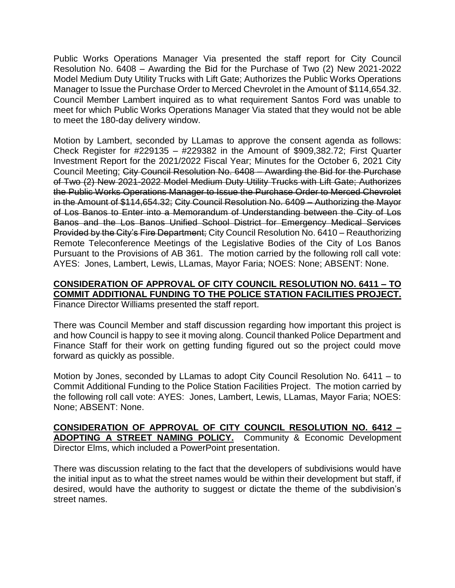Public Works Operations Manager Via presented the staff report for City Council Resolution No. 6408 – Awarding the Bid for the Purchase of Two (2) New 2021-2022 Model Medium Duty Utility Trucks with Lift Gate; Authorizes the Public Works Operations Manager to Issue the Purchase Order to Merced Chevrolet in the Amount of \$114,654.32. Council Member Lambert inquired as to what requirement Santos Ford was unable to meet for which Public Works Operations Manager Via stated that they would not be able to meet the 180-day delivery window.

Motion by Lambert, seconded by LLamas to approve the consent agenda as follows: Check Register for #229135 – #229382 in the Amount of \$909,382.72; First Quarter Investment Report for the 2021/2022 Fiscal Year; Minutes for the October 6, 2021 City Council Meeting; City Council Resolution No. 6408 – Awarding the Bid for the Purchase of Two (2) New 2021-2022 Model Medium Duty Utility Trucks with Lift Gate; Authorizes the Public Works Operations Manager to Issue the Purchase Order to Merced Chevrolet in the Amount of \$114,654.32; City Council Resolution No. 6409 – Authorizing the Mayor of Los Banos to Enter into a Memorandum of Understanding between the City of Los Banos and the Los Banos Unified School District for Emergency Medical Services Provided by the City's Fire Department; City Council Resolution No. 6410 – Reauthorizing Remote Teleconference Meetings of the Legislative Bodies of the City of Los Banos Pursuant to the Provisions of AB 361. The motion carried by the following roll call vote: AYES: Jones, Lambert, Lewis, LLamas, Mayor Faria; NOES: None; ABSENT: None.

#### **CONSIDERATION OF APPROVAL OF CITY COUNCIL RESOLUTION NO. 6411 – TO COMMIT ADDITIONAL FUNDING TO THE POLICE STATION FACILITIES PROJECT.** Finance Director Williams presented the staff report.

There was Council Member and staff discussion regarding how important this project is and how Council is happy to see it moving along. Council thanked Police Department and Finance Staff for their work on getting funding figured out so the project could move forward as quickly as possible.

Motion by Jones, seconded by LLamas to adopt City Council Resolution No. 6411 – to Commit Additional Funding to the Police Station Facilities Project. The motion carried by the following roll call vote: AYES: Jones, Lambert, Lewis, LLamas, Mayor Faria; NOES: None; ABSENT: None.

**CONSIDERATION OF APPROVAL OF CITY COUNCIL RESOLUTION NO. 6412 – ADOPTING A STREET NAMING POLICY.** Community & Economic Development Director Elms, which included a PowerPoint presentation.

There was discussion relating to the fact that the developers of subdivisions would have the initial input as to what the street names would be within their development but staff, if desired, would have the authority to suggest or dictate the theme of the subdivision's street names.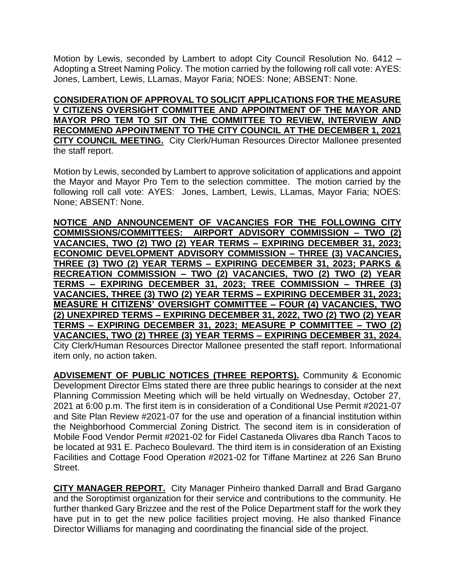Motion by Lewis, seconded by Lambert to adopt City Council Resolution No. 6412 – Adopting a Street Naming Policy. The motion carried by the following roll call vote: AYES: Jones, Lambert, Lewis, LLamas, Mayor Faria; NOES: None; ABSENT: None.

**CONSIDERATION OF APPROVAL TO SOLICIT APPLICATIONS FOR THE MEASURE V CITIZENS OVERSIGHT COMMITTEE AND APPOINTMENT OF THE MAYOR AND MAYOR PRO TEM TO SIT ON THE COMMITTEE TO REVIEW, INTERVIEW AND RECOMMEND APPOINTMENT TO THE CITY COUNCIL AT THE DECEMBER 1, 2021 CITY COUNCIL MEETING.** City Clerk/Human Resources Director Mallonee presented the staff report.

Motion by Lewis, seconded by Lambert to approve solicitation of applications and appoint the Mayor and Mayor Pro Tem to the selection committee. The motion carried by the following roll call vote: AYES: Jones, Lambert, Lewis, LLamas, Mayor Faria; NOES: None; ABSENT: None.

**NOTICE AND ANNOUNCEMENT OF VACANCIES FOR THE FOLLOWING CITY COMMISSIONS/COMMITTEES: AIRPORT ADVISORY COMMISSION – TWO (2) VACANCIES, TWO (2) TWO (2) YEAR TERMS – EXPIRING DECEMBER 31, 2023; ECONOMIC DEVELOPMENT ADVISORY COMMISSION – THREE (3) VACANCIES, THREE (3) TWO (2) YEAR TERMS – EXPIRING DECEMBER 31, 2023; PARKS & RECREATION COMMISSION – TWO (2) VACANCIES, TWO (2) TWO (2) YEAR TERMS – EXPIRING DECEMBER 31, 2023; TREE COMMISSION – THREE (3) VACANCIES, THREE (3) TWO (2) YEAR TERMS – EXPIRING DECEMBER 31, 2023; MEASURE H CITIZENS' OVERSIGHT COMMITTEE – FOUR (4) VACANCIES, TWO (2) UNEXPIRED TERMS – EXPIRING DECEMBER 31, 2022, TWO (2) TWO (2) YEAR TERMS – EXPIRING DECEMBER 31, 2023; MEASURE P COMMITTEE – TWO (2) VACANCIES, TWO (2) THREE (3) YEAR TERMS – EXPIRING DECEMBER 31, 2024.** City Clerk/Human Resources Director Mallonee presented the staff report. Informational item only, no action taken.

**ADVISEMENT OF PUBLIC NOTICES (THREE REPORTS).** Community & Economic Development Director Elms stated there are three public hearings to consider at the next Planning Commission Meeting which will be held virtually on Wednesday, October 27, 2021 at 6:00 p.m. The first item is in consideration of a Conditional Use Permit #2021-07 and Site Plan Review #2021-07 for the use and operation of a financial institution within the Neighborhood Commercial Zoning District. The second item is in consideration of Mobile Food Vendor Permit #2021-02 for Fidel Castaneda Olivares dba Ranch Tacos to be located at 931 E. Pacheco Boulevard. The third item is in consideration of an Existing Facilities and Cottage Food Operation #2021-02 for Tiffane Martinez at 226 San Bruno Street.

**CITY MANAGER REPORT.** City Manager Pinheiro thanked Darrall and Brad Gargano and the Soroptimist organization for their service and contributions to the community. He further thanked Gary Brizzee and the rest of the Police Department staff for the work they have put in to get the new police facilities project moving. He also thanked Finance Director Williams for managing and coordinating the financial side of the project.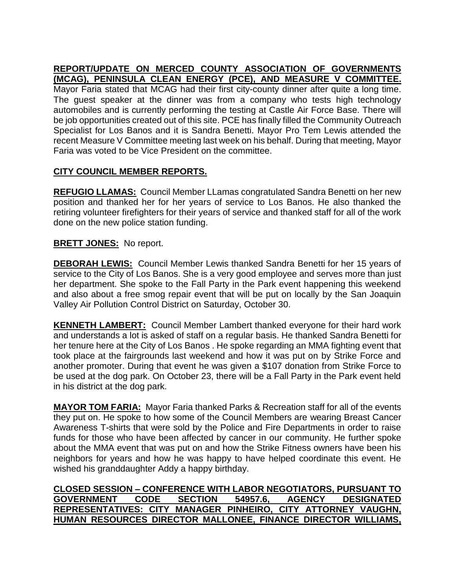## **REPORT/UPDATE ON MERCED COUNTY ASSOCIATION OF GOVERNMENTS (MCAG), PENINSULA CLEAN ENERGY (PCE), AND MEASURE V COMMITTEE.**

Mayor Faria stated that MCAG had their first city-county dinner after quite a long time. The guest speaker at the dinner was from a company who tests high technology automobiles and is currently performing the testing at Castle Air Force Base. There will be job opportunities created out of this site. PCE has finally filled the Community Outreach Specialist for Los Banos and it is Sandra Benetti. Mayor Pro Tem Lewis attended the recent Measure V Committee meeting last week on his behalf. During that meeting, Mayor Faria was voted to be Vice President on the committee.

# **CITY COUNCIL MEMBER REPORTS.**

**REFUGIO LLAMAS:** Council Member LLamas congratulated Sandra Benetti on her new position and thanked her for her years of service to Los Banos. He also thanked the retiring volunteer firefighters for their years of service and thanked staff for all of the work done on the new police station funding.

### **BRETT JONES:** No report.

**DEBORAH LEWIS:** Council Member Lewis thanked Sandra Benetti for her 15 years of service to the City of Los Banos. She is a very good employee and serves more than just her department. She spoke to the Fall Party in the Park event happening this weekend and also about a free smog repair event that will be put on locally by the San Joaquin Valley Air Pollution Control District on Saturday, October 30.

**KENNETH LAMBERT:** Council Member Lambert thanked everyone for their hard work and understands a lot is asked of staff on a regular basis. He thanked Sandra Benetti for her tenure here at the City of Los Banos . He spoke regarding an MMA fighting event that took place at the fairgrounds last weekend and how it was put on by Strike Force and another promoter. During that event he was given a \$107 donation from Strike Force to be used at the dog park. On October 23, there will be a Fall Party in the Park event held in his district at the dog park.

**MAYOR TOM FARIA:** Mayor Faria thanked Parks & Recreation staff for all of the events they put on. He spoke to how some of the Council Members are wearing Breast Cancer Awareness T-shirts that were sold by the Police and Fire Departments in order to raise funds for those who have been affected by cancer in our community. He further spoke about the MMA event that was put on and how the Strike Fitness owners have been his neighbors for years and how he was happy to have helped coordinate this event. He wished his granddaughter Addy a happy birthday.

**CLOSED SESSION – CONFERENCE WITH LABOR NEGOTIATORS, PURSUANT TO GOVERNMENT CODE SECTION 54957.6, AGENCY DESIGNATED REPRESENTATIVES: CITY MANAGER PINHEIRO, CITY ATTORNEY VAUGHN, HUMAN RESOURCES DIRECTOR MALLONEE, FINANCE DIRECTOR WILLIAMS,**